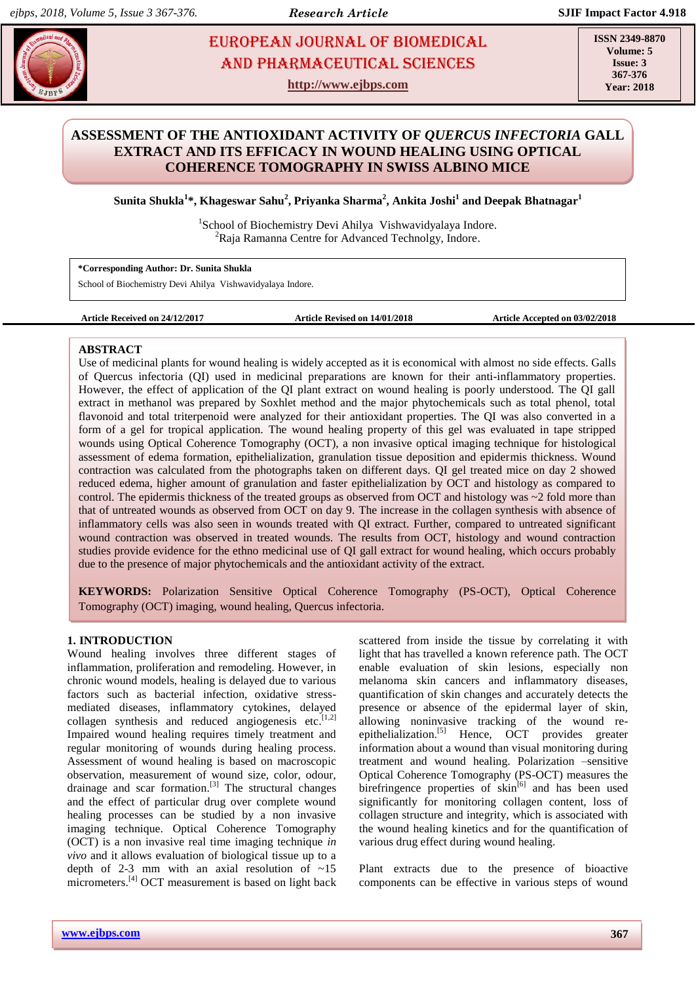# **EUROPEAN JOURNAL OF BIOMEDICAL AND SEX 23** AND Pharmaceutical sciences

**http://www.ejbps.com**

**ISSN 2349-8870 Volume: 5 Issue: 3 367-376 Year: 2018**

# **ASSESSMENT OF THE ANTIOXIDANT ACTIVITY OF** *QUERCUS INFECTORIA* **GALL EXTRACT AND ITS EFFICACY IN WOUND HEALING USING OPTICAL COHERENCE TOMOGRAPHY IN SWISS ALBINO MICE**

**Sunita Shukla<sup>1</sup> \*, Khageswar Sahu<sup>2</sup> , Priyanka Sharma<sup>2</sup> , Ankita Joshi<sup>1</sup> and Deepak Bhatnagar 1**

<sup>1</sup>School of Biochemistry Devi Ahilya Vishwavidyalaya Indore. <sup>2</sup>Raja Ramanna Centre for Advanced Technolgy, Indore.

**\*Corresponding Author: Dr. Sunita Shukla**

School of Biochemistry Devi Ahilya Vishwavidyalaya Indore.

**Article Received on 24/12/2017 Article Revised on 14/01/2018 Article Accepted on 03/02/2018**

# **ABSTRACT**

Use of medicinal plants for wound healing is widely accepted as it is economical with almost no side effects. Galls of Quercus infectoria (QI) used in medicinal preparations are known for their anti-inflammatory properties. However, the effect of application of the QI plant extract on wound healing is poorly understood. The QI gall extract in methanol was prepared by Soxhlet method and the major phytochemicals such as total phenol, total flavonoid and total triterpenoid were analyzed for their antioxidant properties. The QI was also converted in a form of a gel for tropical application. The wound healing property of this gel was evaluated in tape stripped wounds using Optical Coherence Tomography (OCT), a non invasive optical imaging technique for histological assessment of edema formation, epithelialization, granulation tissue deposition and epidermis thickness. Wound contraction was calculated from the photographs taken on different days. QI gel treated mice on day 2 showed reduced edema, higher amount of granulation and faster epithelialization by OCT and histology as compared to control. The epidermis thickness of the treated groups as observed from OCT and histology was ~2 fold more than that of untreated wounds as observed from OCT on day 9. The increase in the collagen synthesis with absence of inflammatory cells was also seen in wounds treated with QI extract. Further, compared to untreated significant wound contraction was observed in treated wounds. The results from OCT, histology and wound contraction studies provide evidence for the ethno medicinal use of QI gall extract for wound healing, which occurs probably due to the presence of major phytochemicals and the antioxidant activity of the extract.

**KEYWORDS:** Polarization Sensitive Optical Coherence Tomography (PS-OCT), Optical Coherence Tomography (OCT) imaging, wound healing, Quercus infectoria.

# **1. INTRODUCTION**

Wound healing involves three different stages of inflammation, proliferation and remodeling. However, in chronic wound models, healing is delayed due to various factors such as bacterial infection, oxidative stressmediated diseases, inflammatory cytokines, delayed collagen synthesis and reduced angiogenesis etc. $[1,2]$ Impaired wound healing requires timely treatment and regular monitoring of wounds during healing process. Assessment of wound healing is based on macroscopic observation, measurement of wound size, color, odour, drainage and scar formation.<sup>[3]</sup> The structural changes and the effect of particular drug over complete wound healing processes can be studied by a non invasive imaging technique. Optical Coherence Tomography (OCT) is a non invasive real time imaging technique *in vivo* and it allows evaluation of biological tissue up to a depth of 2-3 mm with an axial resolution of  $\sim$ 15 micrometers.<sup>[4]</sup> OCT measurement is based on light back

scattered from inside the tissue by correlating it with light that has travelled a known reference path. The OCT enable evaluation of skin lesions, especially non melanoma skin cancers and inflammatory diseases, quantification of skin changes and accurately detects the presence or absence of the epidermal layer of skin, allowing noninvasive tracking of the wound reepithelialization.<sup>[5]</sup> Hence, OCT provides greater information about a wound than visual monitoring during treatment and wound healing. Polarization –sensitive Optical Coherence Tomography (PS-OCT) measures the birefringence properties of  $\sin^{[6]}$  and has been used significantly for monitoring collagen content, loss of collagen structure and integrity, which is associated with the wound healing kinetics and for the quantification of various drug effect during wound healing.

Plant extracts due to the presence of bioactive components can be effective in various steps of wound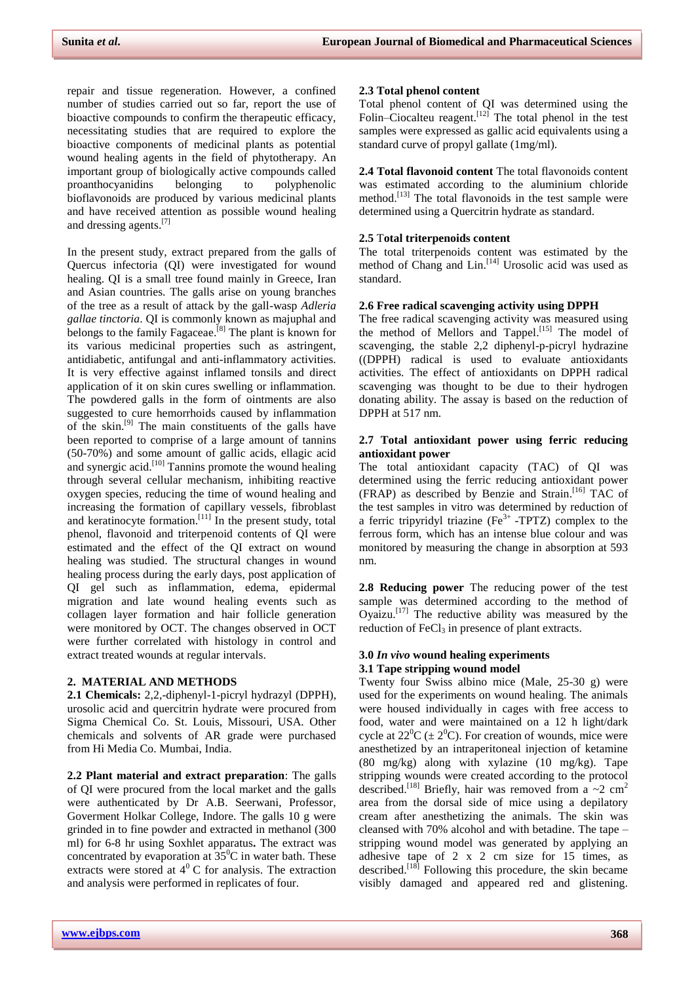repair and tissue regeneration. However, a confined number of studies carried out so far, report the use of bioactive compounds to confirm the therapeutic efficacy, necessitating studies that are required to explore the bioactive components of medicinal plants as potential wound healing agents in the field of phytotherapy. An important group of biologically active compounds called proanthocyanidins belonging to polyphenolic bioflavonoids are produced by various medicinal plants and have received attention as possible wound healing and dressing agents.<sup>[7]</sup>

In the present study, extract prepared from the galls of Quercus infectoria (QI) were investigated for wound healing. QI is a small tree found mainly in Greece, Iran and Asian countries. The galls arise on young branches of the tree as a result of attack by the gall-wasp *Adleria gallae tinctoria*. QI is commonly known as majuphal and belongs to the family Fagaceae.<sup>[8]</sup> The plant is known for its various medicinal properties such as astringent, antidiabetic, antifungal and anti-inflammatory activities. It is very effective against inflamed tonsils and direct application of it on skin cures swelling or inflammation. The powdered galls in the form of ointments are also suggested to cure hemorrhoids caused by inflammation of the skin.<sup>[9]</sup> The main constituents of the galls have been reported to comprise of a large amount of tannins (50-70%) and some amount of gallic acids, ellagic acid and synergic acid.<sup>[10]</sup> Tannins promote the wound healing through several cellular mechanism, inhibiting reactive oxygen species, reducing the time of wound healing and increasing the formation of capillary vessels, fibroblast and keratinocyte formation.<sup>[11]</sup> In the present study, total phenol, flavonoid and triterpenoid contents of QI were estimated and the effect of the QI extract on wound healing was studied. The structural changes in wound healing process during the early days, post application of QI gel such as inflammation, edema, epidermal migration and late wound healing events such as collagen layer formation and hair follicle generation were monitored by OCT. The changes observed in OCT were further correlated with histology in control and extract treated wounds at regular intervals.

## **2. MATERIAL AND METHODS**

**2.1 Chemicals:** 2,2,-diphenyl-1-picryl hydrazyl (DPPH), urosolic acid and quercitrin hydrate were procured from Sigma Chemical Co. St. Louis, Missouri, USA. Other chemicals and solvents of AR grade were purchased from Hi Media Co. Mumbai, India.

**2.2 Plant material and extract preparation**: The galls of QI were procured from the local market and the galls were authenticated by Dr A.B. Seerwani, Professor, Goverment Holkar College, Indore. The galls 10 g were grinded in to fine powder and extracted in methanol (300 ml) for 6-8 hr using Soxhlet apparatus**.** The extract was concentrated by evaporation at  $35^{\circ}$ C in water bath. These extracts were stored at  $4^0$  C for analysis. The extraction and analysis were performed in replicates of four.

# **2.3 Total phenol content**

Total phenol content of QI was determined using the Folin–Ciocalteu reagent.<sup>[12]</sup> The total phenol in the test samples were expressed as gallic acid equivalents using a standard curve of propyl gallate (1mg/ml).

**2.4 Total flavonoid content** The total flavonoids content was estimated according to the aluminium chloride method.<sup>[13]</sup> The total flavonoids in the test sample were determined using a Quercitrin hydrate as standard.

# **2.5** T**otal triterpenoids content**

The total triterpenoids content was estimated by the method of Chang and Lin.<sup>[14]</sup> Urosolic acid was used as standard.

### **2.6 Free radical scavenging activity using DPPH**

The free radical scavenging activity was measured using the method of Mellors and Tappel.<sup>[15]</sup> The model of scavenging, the stable 2,2 diphenyl-p-picryl hydrazine ((DPPH) radical is used to evaluate antioxidants activities. The effect of antioxidants on DPPH radical scavenging was thought to be due to their hydrogen donating ability. The assay is based on the reduction of DPPH at 517 nm.

# **2.7 Total antioxidant power using ferric reducing antioxidant power**

The total antioxidant capacity (TAC) of QI was determined using the ferric reducing antioxidant power (FRAP) as described by Benzie and Strain. [16] TAC of the test samples in vitro was determined by reduction of a ferric tripyridyl triazine ( $Fe<sup>3+</sup>$  -TPTZ) complex to the ferrous form, which has an intense blue colour and was monitored by measuring the change in absorption at 593 nm.

**2.8 Reducing power** The reducing power of the test sample was determined according to the method of Oyaizu. [17] The reductive ability was measured by the reduction of  $FeCl<sub>3</sub>$  in presence of plant extracts.

#### **3.0** *In vivo* **wound healing experiments 3.1 Tape stripping wound model**

Twenty four Swiss albino mice (Male, 25-30 g) were used for the experiments on wound healing. The animals were housed individually in cages with free access to food, water and were maintained on a 12 h light/dark cycle at  $22^{\circ}C \left( \pm 2^{\circ}C \right)$ . For creation of wounds, mice were anesthetized by an intraperitoneal injection of ketamine (80 mg/kg) along with xylazine (10 mg/kg). Tape stripping wounds were created according to the protocol described.<sup>[18]</sup> Briefly, hair was removed from a ~2 cm<sup>2</sup> area from the dorsal side of mice using a depilatory cream after anesthetizing the animals. The skin was cleansed with 70% alcohol and with betadine. The tape – stripping wound model was generated by applying an adhesive tape of 2 x 2 cm size for 15 times, as described.<sup>[18]</sup> Following this procedure, the skin became visibly damaged and appeared red and glistening.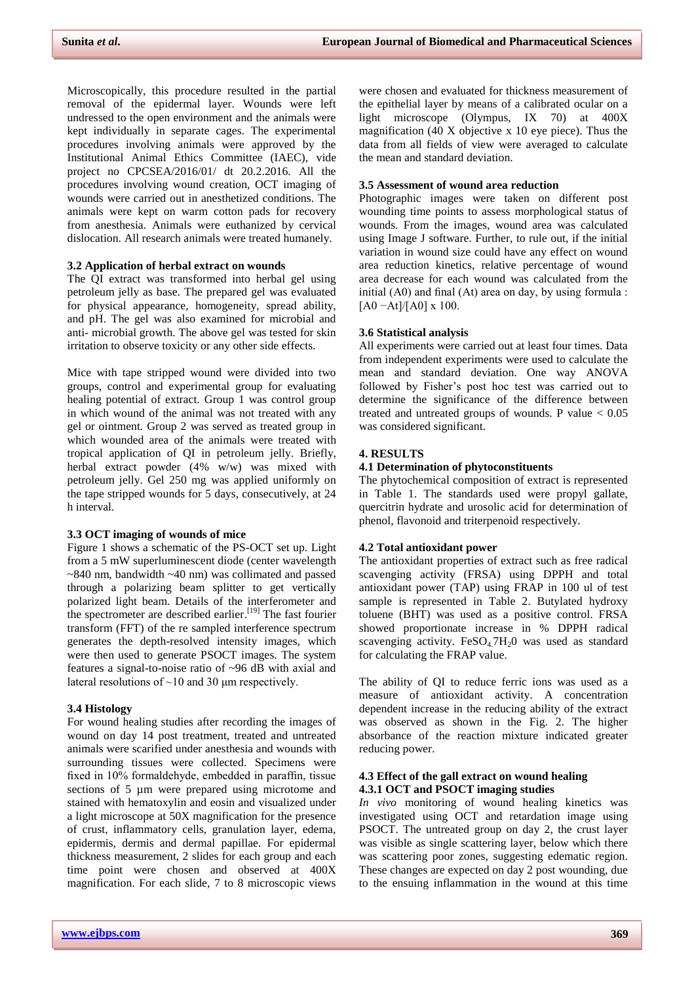Microscopically, this procedure resulted in the partial removal of the epidermal layer. Wounds were left undressed to the open environment and the animals were kept individually in separate cages. The experimental procedures involving animals were approved by the Institutional Animal Ethics Committee (IAEC), vide project no CPCSEA/2016/01/ dt 20.2.2016. All the procedures involving wound creation, OCT imaging of wounds were carried out in anesthetized conditions. The animals were kept on warm cotton pads for recovery from anesthesia. Animals were euthanized by cervical dislocation. All research animals were treated humanely.

# **3.2 Application of herbal extract on wounds**

The QI extract was transformed into herbal gel using petroleum jelly as base. The prepared gel was evaluated for physical appearance, homogeneity, spread ability, and pH. The gel was also examined for microbial and anti- microbial growth. The above gel was tested for skin irritation to observe toxicity or any other side effects.

Mice with tape stripped wound were divided into two groups, control and experimental group for evaluating healing potential of extract. Group 1 was control group in which wound of the animal was not treated with any gel or ointment. Group 2 was served as treated group in which wounded area of the animals were treated with tropical application of QI in petroleum jelly. Briefly, herbal extract powder (4% w/w) was mixed with petroleum jelly. Gel 250 mg was applied uniformly on the tape stripped wounds for 5 days, consecutively, at 24 h interval.

#### **3.3 OCT imaging of wounds of mice**

Figure 1 shows a schematic of the PS-OCT set up. Light from a 5 mW superluminescent diode (center wavelength ~840 nm, bandwidth ~40 nm) was collimated and passed through a polarizing beam splitter to get vertically polarized light beam. Details of the interferometer and the spectrometer are described earlier.<sup>[19]</sup> The fast fourier transform (FFT) of the re sampled interference spectrum generates the depth-resolved intensity images, which were then used to generate PSOCT images. The system features a signal-to-noise ratio of ~96 dB with axial and lateral resolutions of  $\sim$ 10 and 30  $\mu$ m respectively.

#### **3.4 Histology**

For wound healing studies after recording the images of wound on day 14 post treatment, treated and untreated animals were scarified under anesthesia and wounds with surrounding tissues were collected. Specimens were fixed in 10% formaldehyde, embedded in paraffin, tissue sections of 5 µm were prepared using microtome and stained with hematoxylin and eosin and visualized under a light microscope at 50X magnification for the presence of crust, inflammatory cells, granulation layer, edema, epidermis, dermis and dermal papillae. For epidermal thickness measurement, 2 slides for each group and each time point were chosen and observed at 400X magnification. For each slide, 7 to 8 microscopic views

were chosen and evaluated for thickness measurement of the epithelial layer by means of a calibrated ocular on a light microscope (Olympus, IX 70) at 400X magnification (40 X objective x 10 eye piece). Thus the data from all fields of view were averaged to calculate the mean and standard deviation.

#### **3.5 Assessment of wound area reduction**

Photographic images were taken on different post wounding time points to assess morphological status of wounds. From the images, wound area was calculated using Image J software. Further, to rule out, if the initial variation in wound size could have any effect on wound area reduction kinetics, relative percentage of wound area decrease for each wound was calculated from the initial (A0) and final (At) area on day, by using formula :  $[A0 - At]/[A0] \times 100$ .

#### **3.6 Statistical analysis**

All experiments were carried out at least four times. Data from independent experiments were used to calculate the mean and standard deviation. One way ANOVA followed by Fisher's post hoc test was carried out to determine the significance of the difference between treated and untreated groups of wounds. P value  $< 0.05$ was considered significant.

#### **4. RESULTS**

### **4.1 Determination of phytoconstituents**

The phytochemical composition of extract is represented in Table 1. The standards used were propyl gallate, quercitrin hydrate and urosolic acid for determination of phenol, flavonoid and triterpenoid respectively.

#### **4.2 Total antioxidant power**

The antioxidant properties of extract such as free radical scavenging activity (FRSA) using DPPH and total antioxidant power (TAP) using FRAP in 100 ul of test sample is represented in Table 2. Butylated hydroxy toluene (BHT) was used as a positive control. FRSA showed proportionate increase in % DPPH radical scavenging activity.  $FeSO<sub>4</sub>7H<sub>2</sub>O$  was used as standard for calculating the FRAP value.

The ability of QI to reduce ferric ions was used as a measure of antioxidant activity. A concentration dependent increase in the reducing ability of the extract was observed as shown in the Fig. 2. The higher absorbance of the reaction mixture indicated greater reducing power.

# **4.3 Effect of the gall extract on wound healing 4.3.1 OCT and PSOCT imaging studies**

*In vivo* monitoring of wound healing kinetics was investigated using OCT and retardation image using PSOCT. The untreated group on day 2, the crust layer was visible as single scattering layer, below which there was scattering poor zones, suggesting edematic region. These changes are expected on day 2 post wounding, due to the ensuing inflammation in the wound at this time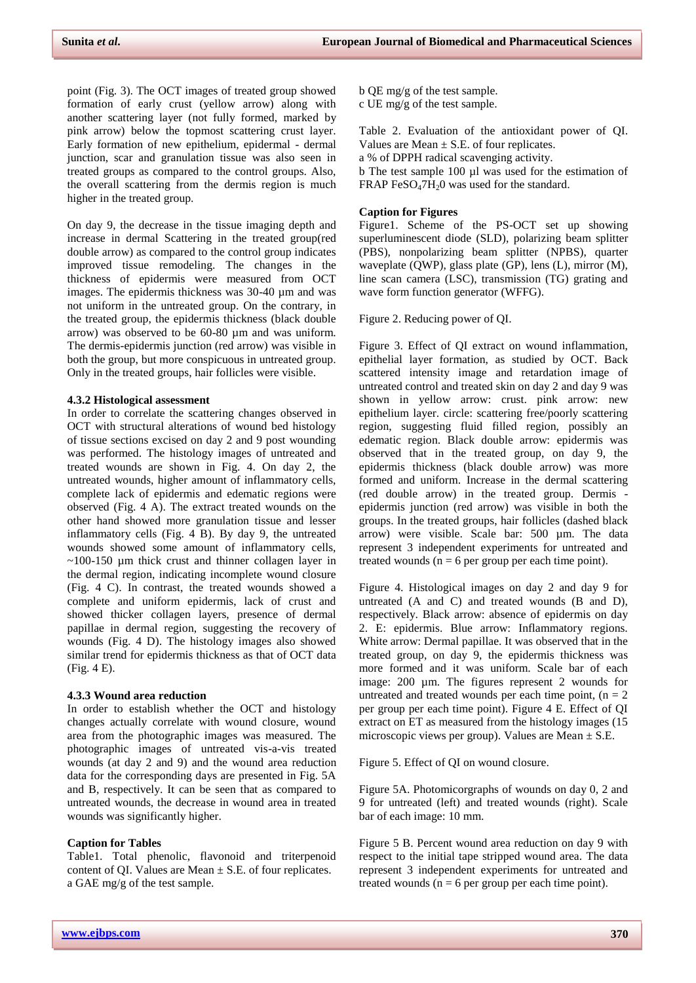point (Fig. 3). The OCT images of treated group showed formation of early crust (yellow arrow) along with another scattering layer (not fully formed, marked by pink arrow) below the topmost scattering crust layer. Early formation of new epithelium, epidermal - dermal junction, scar and granulation tissue was also seen in treated groups as compared to the control groups. Also, the overall scattering from the dermis region is much higher in the treated group.

On day 9, the decrease in the tissue imaging depth and increase in dermal Scattering in the treated group(red double arrow) as compared to the control group indicates improved tissue remodeling. The changes in the thickness of epidermis were measured from OCT images. The epidermis thickness was 30-40 µm and was not uniform in the untreated group. On the contrary, in the treated group, the epidermis thickness (black double arrow) was observed to be 60-80 µm and was uniform. The dermis-epidermis junction (red arrow) was visible in both the group, but more conspicuous in untreated group. Only in the treated groups, hair follicles were visible.

# **4.3.2 Histological assessment**

In order to correlate the scattering changes observed in OCT with structural alterations of wound bed histology of tissue sections excised on day 2 and 9 post wounding was performed. The histology images of untreated and treated wounds are shown in Fig. 4. On day 2, the untreated wounds, higher amount of inflammatory cells, complete lack of epidermis and edematic regions were observed (Fig. 4 A). The extract treated wounds on the other hand showed more granulation tissue and lesser inflammatory cells (Fig. 4 B). By day 9, the untreated wounds showed some amount of inflammatory cells,  $\sim$ 100-150 µm thick crust and thinner collagen layer in the dermal region, indicating incomplete wound closure (Fig. 4 C). In contrast, the treated wounds showed a complete and uniform epidermis, lack of crust and showed thicker collagen layers, presence of dermal papillae in dermal region, suggesting the recovery of wounds (Fig. 4 D). The histology images also showed similar trend for epidermis thickness as that of OCT data (Fig. 4 E).

### **4.3.3 Wound area reduction**

In order to establish whether the OCT and histology changes actually correlate with wound closure, wound area from the photographic images was measured. The photographic images of untreated vis-a-vis treated wounds (at day 2 and 9) and the wound area reduction data for the corresponding days are presented in Fig. 5A and B, respectively. It can be seen that as compared to untreated wounds, the decrease in wound area in treated wounds was significantly higher.

### **Caption for Tables**

Table1. Total phenolic, flavonoid and triterpenoid content of QI. Values are Mean  $\pm$  S.E. of four replicates. a GAE mg/g of the test sample.

b QE mg/g of the test sample. c UE mg/g of the test sample.

Table 2. Evaluation of the antioxidant power of QI. Values are Mean  $\pm$  S.E. of four replicates.

a % of DPPH radical scavenging activity.

b The test sample 100 µl was used for the estimation of FRAP FeSO<sub>4</sub>7H<sub>2</sub>0 was used for the standard.

# **Caption for Figures**

Figure1. Scheme of the PS-OCT set up showing superluminescent diode (SLD), polarizing beam splitter (PBS), nonpolarizing beam splitter (NPBS), quarter waveplate (QWP), glass plate (GP), lens (L), mirror (M), line scan camera (LSC), transmission (TG) grating and wave form function generator (WFFG).

Figure 2. Reducing power of QI.

Figure 3. Effect of QI extract on wound inflammation, epithelial layer formation, as studied by OCT. Back scattered intensity image and retardation image of untreated control and treated skin on day 2 and day 9 was shown in yellow arrow: crust. pink arrow: new epithelium layer. circle: scattering free/poorly scattering region, suggesting fluid filled region, possibly an edematic region. Black double arrow: epidermis was observed that in the treated group, on day 9, the epidermis thickness (black double arrow) was more formed and uniform. Increase in the dermal scattering (red double arrow) in the treated group. Dermis epidermis junction (red arrow) was visible in both the groups. In the treated groups, hair follicles (dashed black arrow) were visible. Scale bar: 500 µm. The data represent 3 independent experiments for untreated and treated wounds ( $n = 6$  per group per each time point).

Figure 4. Histological images on day 2 and day 9 for untreated (A and C) and treated wounds (B and D), respectively. Black arrow: absence of epidermis on day 2. E: epidermis. Blue arrow: Inflammatory regions. White arrow: Dermal papillae. It was observed that in the treated group, on day 9, the epidermis thickness was more formed and it was uniform. Scale bar of each image: 200 µm. The figures represent 2 wounds for untreated and treated wounds per each time point,  $(n = 2)$ per group per each time point). Figure 4 E. Effect of QI extract on ET as measured from the histology images (15 microscopic views per group). Values are Mean  $\pm$  S.E.

Figure 5. Effect of QI on wound closure.

Figure 5A. Photomicorgraphs of wounds on day 0, 2 and 9 for untreated (left) and treated wounds (right). Scale bar of each image: 10 mm.

Figure 5 B. Percent wound area reduction on day 9 with respect to the initial tape stripped wound area. The data represent 3 independent experiments for untreated and treated wounds ( $n = 6$  per group per each time point).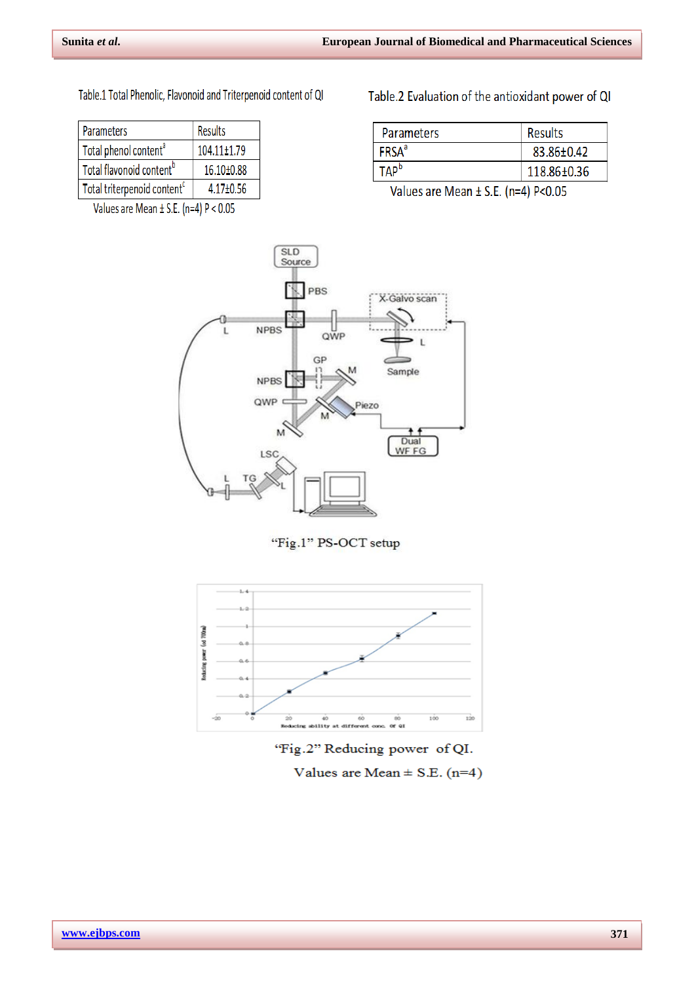Table.1 Total Phenolic, Flavonoid and Triterpenoid content of QI

| <b>Parameters</b>                       | Results         |
|-----------------------------------------|-----------------|
| Total phenol content <sup>a</sup>       | 104.11±1.79     |
| Total flavonoid content <sup>b</sup>    | 16.10±0.88      |
| Total triterpenoid content <sup>c</sup> | $4.17 \pm 0.56$ |

Values are Mean  $\pm$  S.E. (n=4) P < 0.05

Table.2 Evaluation of the antioxidant power of QI

| <b>Parameters</b>        | <b>Results</b> |
|--------------------------|----------------|
| <b>FRSA</b> <sup>a</sup> | 83.86±0.42     |
| TAP <sup>b</sup>         | 118.86±0.36    |

Values are Mean ± S.E. (n=4) P<0.05



# "Fig.1" PS-OCT setup



# 'Fig.2" Reducing power of QI.

Values are Mean  $\pm$  S.E. (n=4)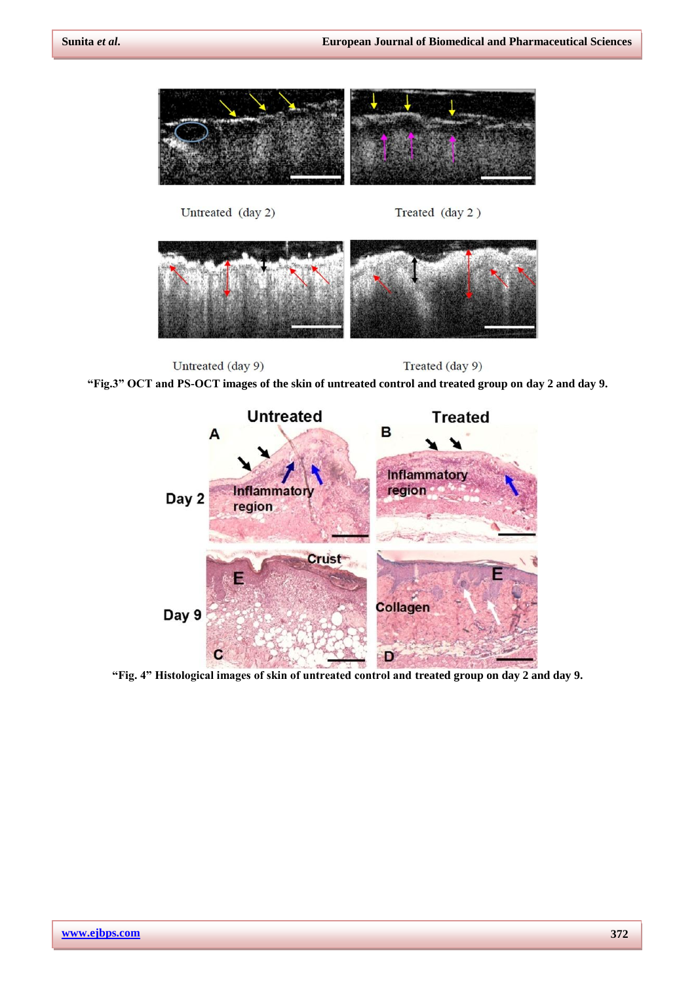Treated (day 2)





Untreated (day 2)

Untreated (day 9) Treated (day 9) **"Fig.3" OCT and PS-OCT images of the skin of untreated control and treated group on day 2 and day 9.**



**"Fig. 4" Histological images of skin of untreated control and treated group on day 2 and day 9.**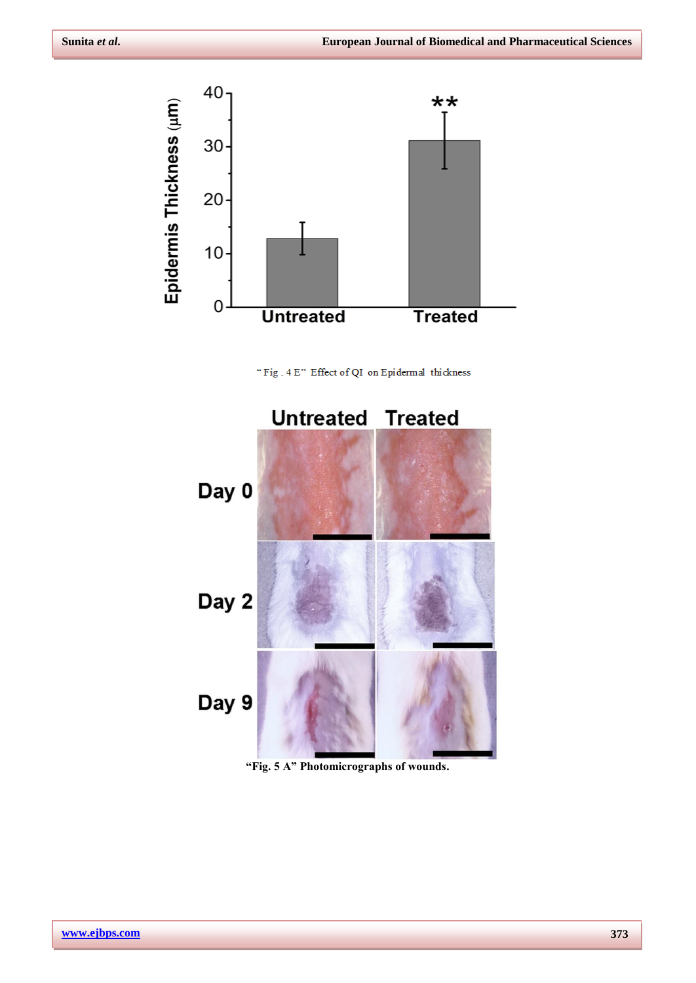

" Fig.  $4 \, \mathrm{E}$  " Effect of QI on Epidermal thickness



**"Fig. 5 A" Photomicrographs of wounds.**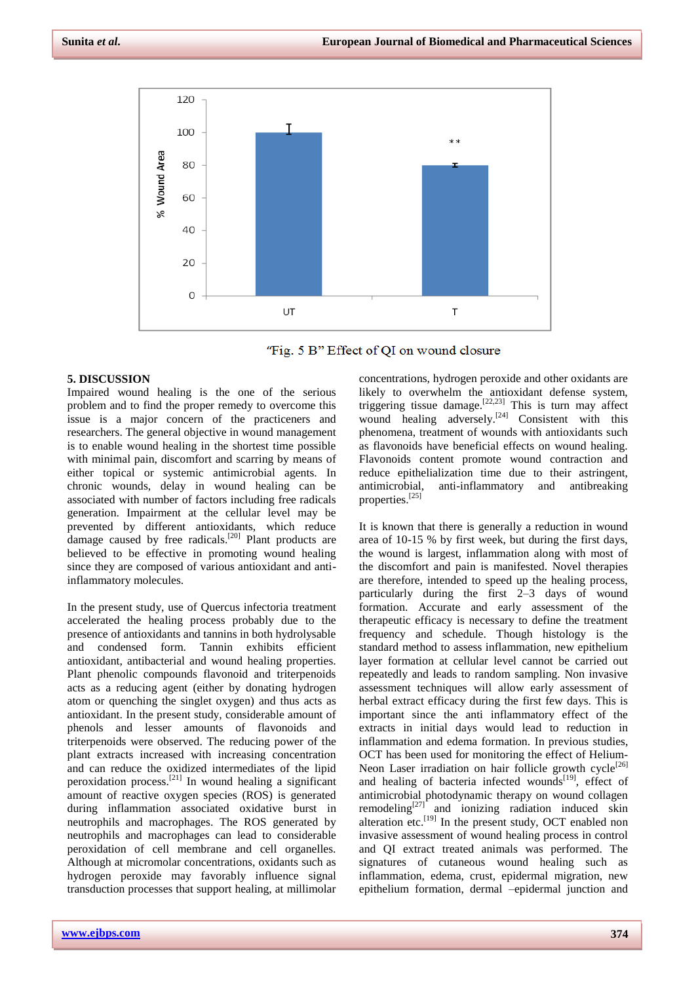



# **5. DISCUSSION**

Impaired wound healing is the one of the serious problem and to find the proper remedy to overcome this issue is a major concern of the practiceners and researchers. The general objective in wound management is to enable wound healing in the shortest time possible with minimal pain, discomfort and scarring by means of either topical or systemic antimicrobial agents. In chronic wounds, delay in wound healing can be associated with number of factors including free radicals generation. Impairment at the cellular level may be prevented by different antioxidants, which reduce damage caused by free radicals.<sup>[20]</sup> Plant products are believed to be effective in promoting wound healing since they are composed of various antioxidant and antiinflammatory molecules.

In the present study, use of Quercus infectoria treatment accelerated the healing process probably due to the presence of antioxidants and tannins in both hydrolysable and condensed form. Tannin exhibits efficient antioxidant, antibacterial and wound healing properties. Plant phenolic compounds flavonoid and triterpenoids acts as a reducing agent (either by donating hydrogen atom or quenching the singlet oxygen) and thus acts as antioxidant. In the present study, considerable amount of phenols and lesser amounts of flavonoids and triterpenoids were observed. The reducing power of the plant extracts increased with increasing concentration and can reduce the oxidized intermediates of the lipid peroxidation process.<sup>[21]</sup> In wound healing a significant amount of reactive oxygen species (ROS) is generated during inflammation associated oxidative burst in neutrophils and macrophages. The ROS generated by neutrophils and macrophages can lead to considerable peroxidation of cell membrane and cell organelles. Although at micromolar concentrations, oxidants such as hydrogen peroxide may favorably influence signal transduction processes that support healing, at millimolar

concentrations, hydrogen peroxide and other oxidants are likely to overwhelm the antioxidant defense system, triggering tissue damage.<sup>[22,23]</sup> This is turn may affect wound healing adversely.<sup>[24]</sup> Consistent with this phenomena, treatment of wounds with antioxidants such as flavonoids have beneficial effects on wound healing. Flavonoids content promote wound contraction and reduce epithelialization time due to their astringent, antimicrobial, anti-inflammatory and antibreaking anti-inflammatory and antibreaking properties. [25]

It is known that there is generally a reduction in wound area of 10-15 % by first week, but during the first days, the wound is largest, inflammation along with most of the discomfort and pain is manifested. Novel therapies are therefore, intended to speed up the healing process, particularly during the first 2–3 days of wound formation. Accurate and early assessment of the therapeutic efficacy is necessary to define the treatment frequency and schedule. Though histology is the standard method to assess inflammation, new epithelium layer formation at cellular level cannot be carried out repeatedly and leads to random sampling. Non invasive assessment techniques will allow early assessment of herbal extract efficacy during the first few days. This is important since the anti inflammatory effect of the extracts in initial days would lead to reduction in inflammation and edema formation. In previous studies, OCT has been used for monitoring the effect of Helium-Neon Laser irradiation on hair follicle growth cycle<sup>[26]</sup> and healing of bacteria infected wounds<sup>[19]</sup>, effect of antimicrobial photodynamic therapy on wound collagen remodeling $[27]$  and ionizing radiation induced skin alteration etc.<sup>[19]</sup> In the present study, OCT enabled non invasive assessment of wound healing process in control and QI extract treated animals was performed. The signatures of cutaneous wound healing such as inflammation, edema, crust, epidermal migration, new epithelium formation, dermal –epidermal junction and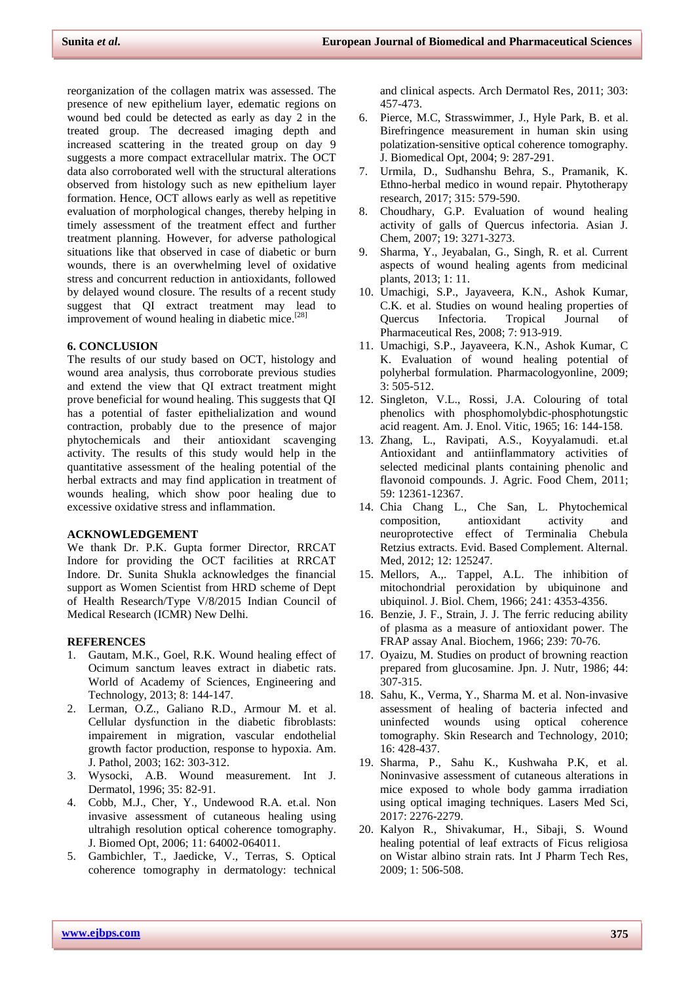reorganization of the collagen matrix was assessed. The presence of new epithelium layer, edematic regions on wound bed could be detected as early as day 2 in the treated group. The decreased imaging depth and increased scattering in the treated group on day 9 suggests a more compact extracellular matrix. The OCT data also corroborated well with the structural alterations observed from histology such as new epithelium layer formation. Hence, OCT allows early as well as repetitive evaluation of morphological changes, thereby helping in timely assessment of the treatment effect and further treatment planning. However, for adverse pathological situations like that observed in case of diabetic or burn wounds, there is an overwhelming level of oxidative stress and concurrent reduction in antioxidants, followed by delayed wound closure. The results of a recent study suggest that QI extract treatment may lead to improvement of wound healing in diabetic mice.<sup>[28]</sup>

### **6. CONCLUSION**

The results of our study based on OCT, histology and wound area analysis, thus corroborate previous studies and extend the view that QI extract treatment might prove beneficial for wound healing. This suggests that QI has a potential of faster epithelialization and wound contraction, probably due to the presence of major phytochemicals and their antioxidant scavenging activity. The results of this study would help in the quantitative assessment of the healing potential of the herbal extracts and may find application in treatment of wounds healing, which show poor healing due to excessive oxidative stress and inflammation.

# **ACKNOWLEDGEMENT**

We thank Dr. P.K. Gupta former Director, RRCAT Indore for providing the OCT facilities at RRCAT Indore. Dr. Sunita Shukla acknowledges the financial support as Women Scientist from HRD scheme of Dept of Health Research/Type V/8/2015 Indian Council of Medical Research (ICMR) New Delhi.

#### **REFERENCES**

- 1. Gautam, M.K., Goel, R.K. Wound healing effect of Ocimum sanctum leaves extract in diabetic rats. World of Academy of Sciences, Engineering and Technology, 2013; 8: 144-147.
- 2. Lerman, O.Z., Galiano R.D., Armour M. et al. Cellular dysfunction in the diabetic fibroblasts: impairement in migration, vascular endothelial growth factor production, response to hypoxia. Am. J. Pathol, 2003; 162: 303-312.
- 3. Wysocki, A.B. Wound measurement. Int J. Dermatol, 1996; 35: 82-91.
- 4. Cobb, M.J., Cher, Y., Undewood R.A. et.al. Non invasive assessment of cutaneous healing using ultrahigh resolution optical coherence tomography. J. Biomed Opt, 2006; 11: 64002-064011.
- 5. Gambichler, T., Jaedicke, V., Terras, S. Optical coherence tomography in dermatology: technical

and clinical aspects. Arch Dermatol Res, 2011; 303: 457-473.

- 6. Pierce, M.C, Strasswimmer, J., Hyle Park, B. et al. Birefringence measurement in human skin using polatization-sensitive optical coherence tomography. J. Biomedical Opt, 2004; 9: 287-291.
- 7. Urmila, D., Sudhanshu Behra, S., Pramanik, K. Ethno-herbal medico in wound repair. Phytotherapy research, 2017; 315: 579-590.
- 8. Choudhary, G.P. Evaluation of wound healing activity of galls of Quercus infectoria. Asian J. Chem, 2007; 19: 3271-3273.
- 9. Sharma, Y., Jeyabalan, G., Singh, R. et al. Current aspects of wound healing agents from medicinal plants, 2013; 1: 11.
- 10. Umachigi, S.P., Jayaveera, K.N., Ashok Kumar, C.K. et al. Studies on wound healing properties of Quercus Infectoria. Tropical Journal of Pharmaceutical Res, 2008; 7: 913-919.
- 11. Umachigi, S.P., Jayaveera, K.N., Ashok Kumar, C K. Evaluation of wound healing potential of polyherbal formulation. Pharmacologyonline, 2009; 3: 505-512.
- 12. Singleton, V.L., Rossi, J.A. Colouring of total phenolics with phosphomolybdic-phosphotungstic acid reagent. Am. J. Enol. Vitic, 1965; 16: 144-158.
- 13. Zhang, L., Ravipati, A.S., Koyyalamudi. et.al Antioxidant and antiinflammatory activities of selected medicinal plants containing phenolic and flavonoid compounds. J. Agric. Food Chem, 2011; 59: 12361-12367.
- 14. Chia Chang L., Che San, L. Phytochemical composition, antioxidant activity and neuroprotective effect of Terminalia Chebula Retzius extracts. Evid. Based Complement. Alternal. Med, 2012; 12: 125247.
- 15. Mellors, A.,. Tappel, A.L. The inhibition of mitochondrial peroxidation by ubiquinone and ubiquinol. J. Biol. Chem, 1966; 241: 4353-4356.
- 16. Benzie, J. F., Strain, J. J. The ferric reducing ability of plasma as a measure of antioxidant power. The FRAP assay Anal. Biochem, 1966; 239: 70-76.
- 17. Oyaizu, M. Studies on product of browning reaction prepared from glucosamine. Jpn. J. Nutr, 1986; 44: 307-315.
- 18. Sahu, K., Verma, Y., Sharma M. et al. Non-invasive assessment of healing of bacteria infected and uninfected wounds using optical coherence tomography. Skin Research and Technology, 2010; 16: 428-437.
- 19. Sharma, P., Sahu K., Kushwaha P.K, et al. Noninvasive assessment of cutaneous alterations in mice exposed to whole body gamma irradiation using optical imaging techniques. Lasers Med Sci, 2017: 2276-2279.
- 20. Kalyon R., Shivakumar, H., Sibaji, S. Wound healing potential of leaf extracts of Ficus religiosa on Wistar albino strain rats. Int J Pharm Tech Res, 2009; 1: 506-508.